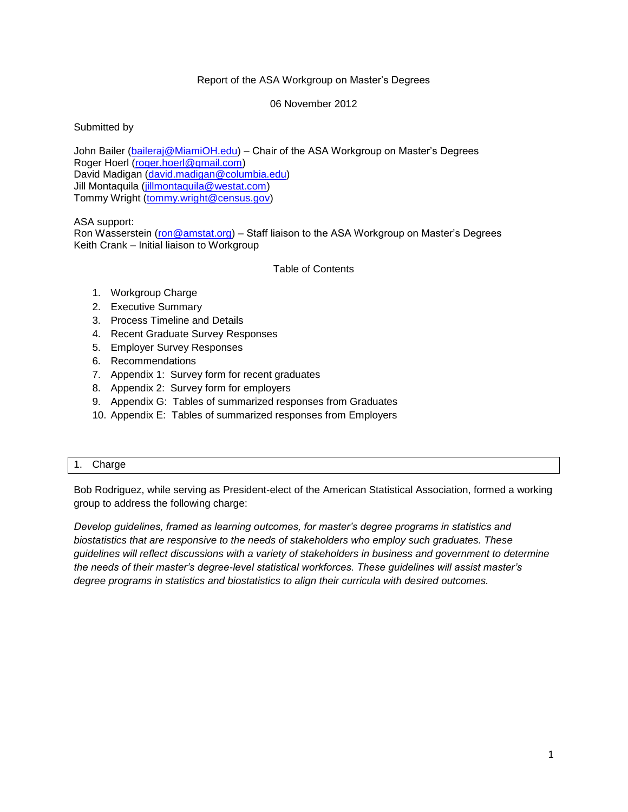## Report of the ASA Workgroup on Master's Degrees

06 November 2012

Submitted by

John Bailer [\(baileraj@MiamiOH.edu\)](mailto:baileraj@MiamiOH.edu) – Chair of the ASA Workgroup on Master's Degrees Roger Hoerl [\(roger.hoerl@gmail.com\)](mailto:roger.hoerl@gmail.com) David Madigan [\(david.madigan@columbia.edu\)](mailto:david.madigan@columbia.edu) Jill Montaquila [\(jillmontaquila@westat.com\)](mailto:jillmontaquila@westat.com) Tommy Wright [\(tommy.wright@census.gov\)](mailto:tommy.wright@census.gov)

ASA support:

Ron Wasserstein [\(ron@amstat.org\)](mailto:keith@amstat.org) – Staff liaison to the ASA Workgroup on Master's Degrees Keith Crank – Initial liaison to Workgroup

Table of Contents

- 1. Workgroup Charge
- 2. Executive Summary
- 3. Process Timeline and Details
- 4. Recent Graduate Survey Responses
- 5. Employer Survey Responses
- 6. Recommendations
- 7. Appendix 1: Survey form for recent graduates
- 8. Appendix 2: Survey form for employers
- 9. Appendix G: Tables of summarized responses from Graduates
- 10. Appendix E: Tables of summarized responses from Employers

## 1. Charge

Bob Rodriguez, while serving as President-elect of the American Statistical Association, formed a working group to address the following charge:

*Develop guidelines, framed as learning outcomes, for master's degree programs in statistics and biostatistics that are responsive to the needs of stakeholders who employ such graduates. These guidelines will reflect discussions with a variety of stakeholders in business and government to determine the needs of their master's degree-level statistical workforces. These guidelines will assist master's degree programs in statistics and biostatistics to align their curricula with desired outcomes.*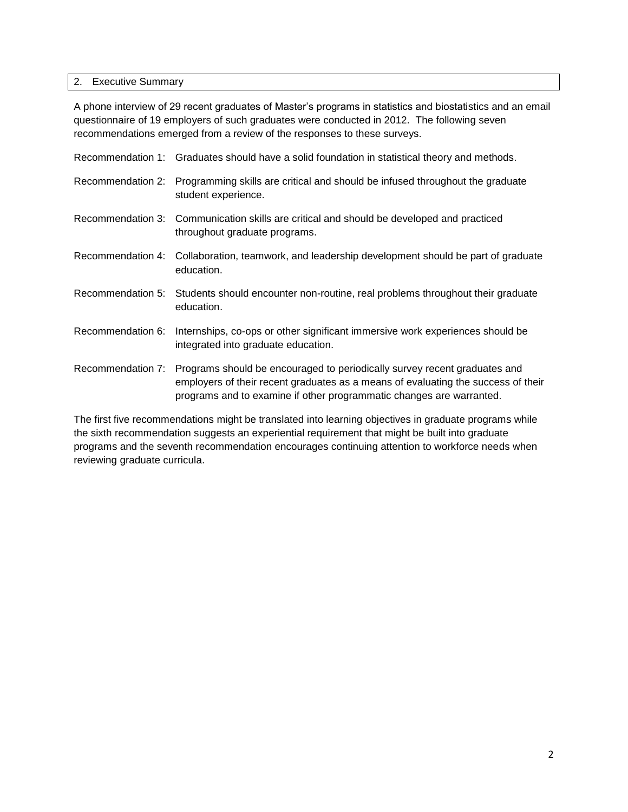## 2. Executive Summary

A phone interview of 29 recent graduates of Master's programs in statistics and biostatistics and an email questionnaire of 19 employers of such graduates were conducted in 2012. The following seven recommendations emerged from a review of the responses to these surveys.

|                   | Recommendation 1: Graduates should have a solid foundation in statistical theory and methods.                                                                                                                                                            |
|-------------------|----------------------------------------------------------------------------------------------------------------------------------------------------------------------------------------------------------------------------------------------------------|
|                   | Recommendation 2: Programming skills are critical and should be infused throughout the graduate<br>student experience.                                                                                                                                   |
|                   | Recommendation 3: Communication skills are critical and should be developed and practiced<br>throughout graduate programs.                                                                                                                               |
|                   | Recommendation 4: Collaboration, teamwork, and leadership development should be part of graduate<br>education.                                                                                                                                           |
|                   | Recommendation 5: Students should encounter non-routine, real problems throughout their graduate<br>education.                                                                                                                                           |
| Recommendation 6: | Internships, co-ops or other significant immersive work experiences should be<br>integrated into graduate education.                                                                                                                                     |
|                   | Recommendation 7: Programs should be encouraged to periodically survey recent graduates and<br>employers of their recent graduates as a means of evaluating the success of their<br>programs and to examine if other programmatic changes are warranted. |

The first five recommendations might be translated into learning objectives in graduate programs while the sixth recommendation suggests an experiential requirement that might be built into graduate programs and the seventh recommendation encourages continuing attention to workforce needs when reviewing graduate curricula.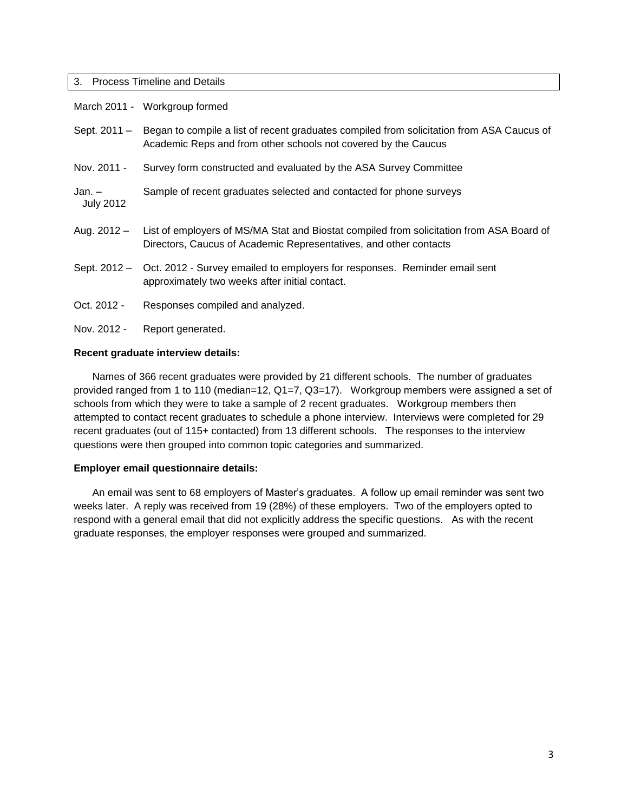#### 3. Process Timeline and Details

|                            | March 2011 - Workgroup formed                                                                                                                                 |
|----------------------------|---------------------------------------------------------------------------------------------------------------------------------------------------------------|
| Sept. 2011 -               | Began to compile a list of recent graduates compiled from solicitation from ASA Caucus of<br>Academic Reps and from other schools not covered by the Caucus   |
| Nov. 2011 -                | Survey form constructed and evaluated by the ASA Survey Committee                                                                                             |
| Jan. –<br><b>July 2012</b> | Sample of recent graduates selected and contacted for phone surveys                                                                                           |
| Aug. $2012 -$              | List of employers of MS/MA Stat and Biostat compiled from solicitation from ASA Board of<br>Directors, Caucus of Academic Representatives, and other contacts |
|                            | Sept. 2012 - Oct. 2012 - Survey emailed to employers for responses. Reminder email sent<br>approximately two weeks after initial contact.                     |
| Oct. 2012 -                | Responses compiled and analyzed.                                                                                                                              |
| Nov. 2012 -                | Report generated.                                                                                                                                             |

### **Recent graduate interview details:**

Names of 366 recent graduates were provided by 21 different schools. The number of graduates provided ranged from 1 to 110 (median=12, Q1=7, Q3=17). Workgroup members were assigned a set of schools from which they were to take a sample of 2 recent graduates. Workgroup members then attempted to contact recent graduates to schedule a phone interview. Interviews were completed for 29 recent graduates (out of 115+ contacted) from 13 different schools. The responses to the interview questions were then grouped into common topic categories and summarized.

### **Employer email questionnaire details:**

An email was sent to 68 employers of Master's graduates. A follow up email reminder was sent two weeks later. A reply was received from 19 (28%) of these employers. Two of the employers opted to respond with a general email that did not explicitly address the specific questions. As with the recent graduate responses, the employer responses were grouped and summarized.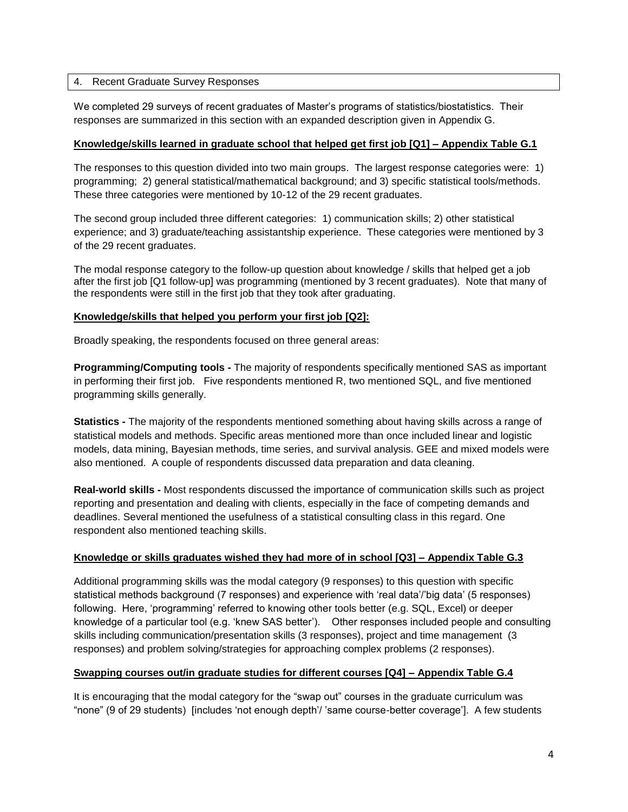## 4. Recent Graduate Survey Responses

We completed 29 surveys of recent graduates of Master's programs of statistics/biostatistics. Their responses are summarized in this section with an expanded description given in Appendix G.

### **Knowledge/skills learned in graduate school that helped get first job [Q1] – Appendix Table G.1**

The responses to this question divided into two main groups. The largest response categories were: 1) programming; 2) general statistical/mathematical background; and 3) specific statistical tools/methods. These three categories were mentioned by 10-12 of the 29 recent graduates.

The second group included three different categories: 1) communication skills; 2) other statistical experience; and 3) graduate/teaching assistantship experience. These categories were mentioned by 3 of the 29 recent graduates.

The modal response category to the follow-up question about knowledge / skills that helped get a job after the first job [Q1 follow-up] was programming (mentioned by 3 recent graduates). Note that many of the respondents were still in the first job that they took after graduating.

## **Knowledge/skills that helped you perform your first job [Q2]:**

Broadly speaking, the respondents focused on three general areas:

**Programming/Computing tools -** The majority of respondents specifically mentioned SAS as important in performing their first job. Five respondents mentioned R, two mentioned SQL, and five mentioned programming skills generally.

**Statistics -** The majority of the respondents mentioned something about having skills across a range of statistical models and methods. Specific areas mentioned more than once included linear and logistic models, data mining, Bayesian methods, time series, and survival analysis. GEE and mixed models were also mentioned. A couple of respondents discussed data preparation and data cleaning.

**Real-world skills -** Most respondents discussed the importance of communication skills such as project reporting and presentation and dealing with clients, especially in the face of competing demands and deadlines. Several mentioned the usefulness of a statistical consulting class in this regard. One respondent also mentioned teaching skills.

# **Knowledge or skills graduates wished they had more of in school [Q3] – Appendix Table G.3**

Additional programming skills was the modal category (9 responses) to this question with specific statistical methods background (7 responses) and experience with 'real data'/'big data' (5 responses) following. Here, 'programming' referred to knowing other tools better (e.g. SQL, Excel) or deeper knowledge of a particular tool (e.g. 'knew SAS better'). Other responses included people and consulting skills including communication/presentation skills (3 responses), project and time management (3 responses) and problem solving/strategies for approaching complex problems (2 responses).

# **Swapping courses out/in graduate studies for different courses [Q4] – Appendix Table G.4**

It is encouraging that the modal category for the "swap out" courses in the graduate curriculum was "none" (9 of 29 students) [includes 'not enough depth'/ 'same course-better coverage']. A few students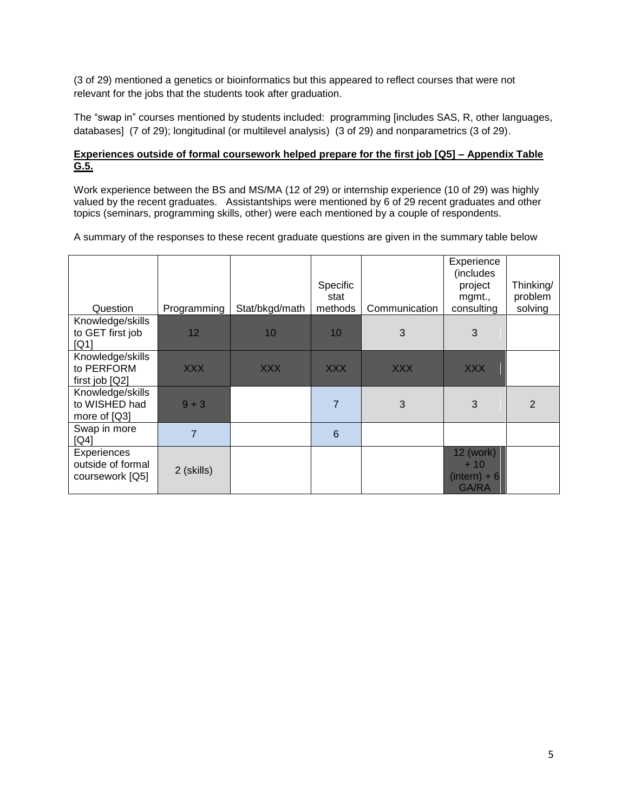(3 of 29) mentioned a genetics or bioinformatics but this appeared to reflect courses that were not relevant for the jobs that the students took after graduation.

The "swap in" courses mentioned by students included: programming [includes SAS, R, other languages, databases] (7 of 29); longitudinal (or multilevel analysis) (3 of 29) and nonparametrics (3 of 29).

## **Experiences outside of formal coursework helped prepare for the first job [Q5] – Appendix Table G.5.**

Work experience between the BS and MS/MA (12 of 29) or internship experience (10 of 29) was highly valued by the recent graduates. Assistantships were mentioned by 6 of 29 recent graduates and other topics (seminars, programming skills, other) were each mentioned by a couple of respondents.

A summary of the responses to these recent graduate questions are given in the summary table below

| Question                                            | Programming | Stat/bkgd/math | Specific<br>stat<br>methods | Communication | Experience<br>(includes<br>project<br>mgmt.,<br>consulting | Thinking/<br>problem<br>solving |
|-----------------------------------------------------|-------------|----------------|-----------------------------|---------------|------------------------------------------------------------|---------------------------------|
| Knowledge/skills                                    |             |                |                             |               |                                                            |                                 |
| to GET first job<br>[Q1]                            | 12          | 10             | 10                          | 3             | 3                                                          |                                 |
| Knowledge/skills<br>to PERFORM                      | <b>XXX</b>  | <b>XXX</b>     | <b>XXX</b>                  | <b>XXX</b>    | <b>XXX</b>                                                 |                                 |
| first job [Q2]                                      |             |                |                             |               |                                                            |                                 |
| Knowledge/skills<br>to WISHED had<br>more of [Q3]   | $9 + 3$     |                | $\overline{7}$              | 3             | 3                                                          | $\overline{2}$                  |
| Swap in more<br>[Q4]                                | 7           |                | 6                           |               |                                                            |                                 |
| Experiences<br>outside of formal<br>coursework [Q5] | 2 (skills)  |                |                             |               | 12 (work)<br>$+10$<br>$(intern) + 6$<br>GA/RA              |                                 |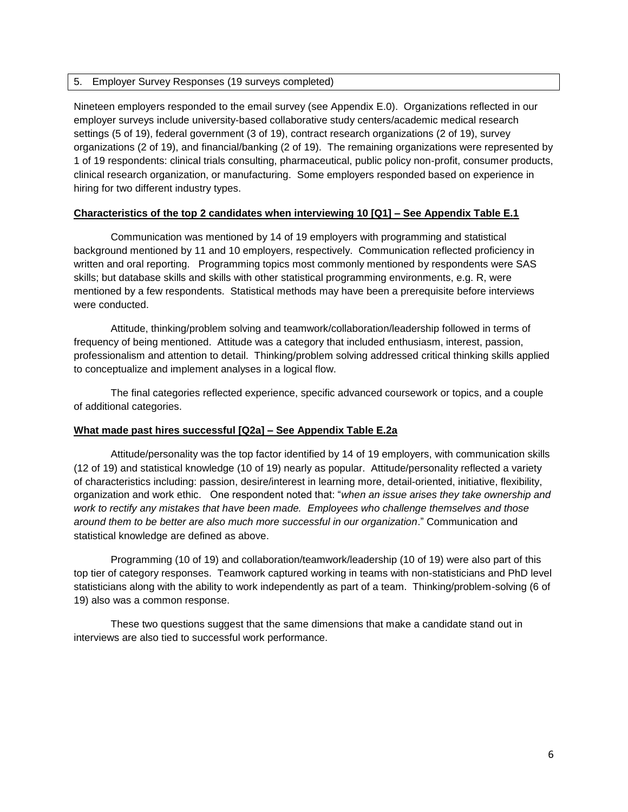### 5. Employer Survey Responses (19 surveys completed)

Nineteen employers responded to the email survey (see Appendix E.0). Organizations reflected in our employer surveys include university-based collaborative study centers/academic medical research settings (5 of 19), federal government (3 of 19), contract research organizations (2 of 19), survey organizations (2 of 19), and financial/banking (2 of 19). The remaining organizations were represented by 1 of 19 respondents: clinical trials consulting, pharmaceutical, public policy non-profit, consumer products, clinical research organization, or manufacturing. Some employers responded based on experience in hiring for two different industry types.

# **Characteristics of the top 2 candidates when interviewing 10 [Q1] – See Appendix Table E.1**

Communication was mentioned by 14 of 19 employers with programming and statistical background mentioned by 11 and 10 employers, respectively. Communication reflected proficiency in written and oral reporting. Programming topics most commonly mentioned by respondents were SAS skills; but database skills and skills with other statistical programming environments, e.g. R, were mentioned by a few respondents. Statistical methods may have been a prerequisite before interviews were conducted.

Attitude, thinking/problem solving and teamwork/collaboration/leadership followed in terms of frequency of being mentioned. Attitude was a category that included enthusiasm, interest, passion, professionalism and attention to detail. Thinking/problem solving addressed critical thinking skills applied to conceptualize and implement analyses in a logical flow.

The final categories reflected experience, specific advanced coursework or topics, and a couple of additional categories.

### **What made past hires successful [Q2a] – See Appendix Table E.2a**

Attitude/personality was the top factor identified by 14 of 19 employers, with communication skills (12 of 19) and statistical knowledge (10 of 19) nearly as popular. Attitude/personality reflected a variety of characteristics including: passion, desire/interest in learning more, detail-oriented, initiative, flexibility, organization and work ethic. One respondent noted that: "*when an issue arises they take ownership and work to rectify any mistakes that have been made. Employees who challenge themselves and those around them to be better are also much more successful in our organization*." Communication and statistical knowledge are defined as above.

Programming (10 of 19) and collaboration/teamwork/leadership (10 of 19) were also part of this top tier of category responses. Teamwork captured working in teams with non-statisticians and PhD level statisticians along with the ability to work independently as part of a team. Thinking/problem-solving (6 of 19) also was a common response.

These two questions suggest that the same dimensions that make a candidate stand out in interviews are also tied to successful work performance.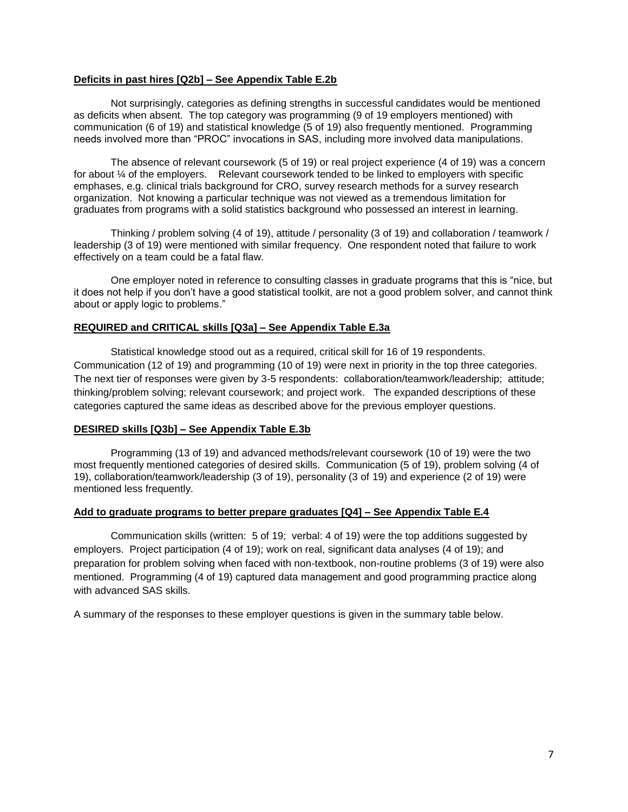### **Deficits in past hires [Q2b] – See Appendix Table E.2b**

Not surprisingly, categories as defining strengths in successful candidates would be mentioned as deficits when absent. The top category was programming (9 of 19 employers mentioned) with communication (6 of 19) and statistical knowledge (5 of 19) also frequently mentioned. Programming needs involved more than "PROC" invocations in SAS, including more involved data manipulations.

The absence of relevant coursework (5 of 19) or real project experience (4 of 19) was a concern for about ¼ of the employers. Relevant coursework tended to be linked to employers with specific emphases, e.g. clinical trials background for CRO, survey research methods for a survey research organization. Not knowing a particular technique was not viewed as a tremendous limitation for graduates from programs with a solid statistics background who possessed an interest in learning.

Thinking / problem solving (4 of 19), attitude / personality (3 of 19) and collaboration / teamwork / leadership (3 of 19) were mentioned with similar frequency. One respondent noted that failure to work effectively on a team could be a fatal flaw.

One employer noted in reference to consulting classes in graduate programs that this is "nice, but it does not help if you don't have a good statistical toolkit, are not a good problem solver, and cannot think about or apply logic to problems."

#### **REQUIRED and CRITICAL skills [Q3a] – See Appendix Table E.3a**

Statistical knowledge stood out as a required, critical skill for 16 of 19 respondents. Communication (12 of 19) and programming (10 of 19) were next in priority in the top three categories. The next tier of responses were given by 3-5 respondents: collaboration/teamwork/leadership; attitude; thinking/problem solving; relevant coursework; and project work. The expanded descriptions of these categories captured the same ideas as described above for the previous employer questions.

### **DESIRED skills [Q3b] – See Appendix Table E.3b**

Programming (13 of 19) and advanced methods/relevant coursework (10 of 19) were the two most frequently mentioned categories of desired skills. Communication (5 of 19), problem solving (4 of 19), collaboration/teamwork/leadership (3 of 19), personality (3 of 19) and experience (2 of 19) were mentioned less frequently.

## **Add to graduate programs to better prepare graduates [Q4] – See Appendix Table E.4**

Communication skills (written: 5 of 19; verbal: 4 of 19) were the top additions suggested by employers. Project participation (4 of 19); work on real, significant data analyses (4 of 19); and preparation for problem solving when faced with non-textbook, non-routine problems (3 of 19) were also mentioned. Programming (4 of 19) captured data management and good programming practice along with advanced SAS skills.

A summary of the responses to these employer questions is given in the summary table below.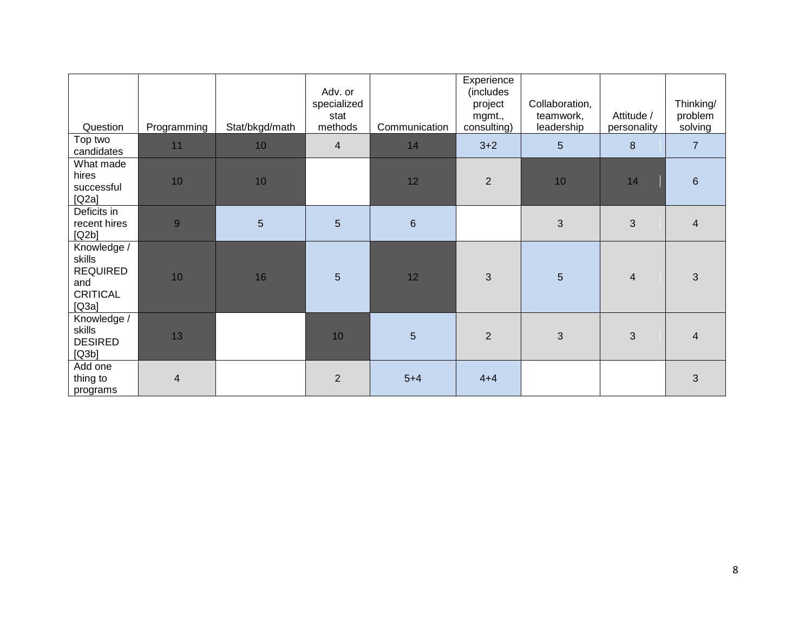|                                                                             |                |                 | Adv. or<br>specialized<br>stat |                | Experience<br>(includes<br>project<br>mgmt., | Collaboration,<br>teamwork, | Attitude /     | Thinking/<br>problem |
|-----------------------------------------------------------------------------|----------------|-----------------|--------------------------------|----------------|----------------------------------------------|-----------------------------|----------------|----------------------|
| Question                                                                    | Programming    | Stat/bkgd/math  | methods                        | Communication  | consulting)                                  | leadership                  | personality    | solving              |
| Top two<br>candidates                                                       | 11             | 10              | $\overline{4}$                 | 14             | $3 + 2$                                      | 5                           | 8              | $\overline{7}$       |
| What made<br>hires<br>successful<br>[Q2a]                                   | 10             | 10              |                                | 12             | $\overline{2}$                               | 10                          | 14             | $6\phantom{1}6$      |
| Deficits in<br>recent hires<br>[Q2b]                                        | 9              | $5\overline{)}$ | $5\phantom{.}$                 | $6\phantom{1}$ |                                              | 3                           | 3              | $\overline{4}$       |
| Knowledge /<br>skills<br><b>REQUIRED</b><br>and<br><b>CRITICAL</b><br>[Q3a] | 10             | 16              | 5                              | 12             | $\mathbf{3}$                                 | $5\phantom{.}$              | $\overline{4}$ | $\mathfrak{S}$       |
| Knowledge /<br>skills<br><b>DESIRED</b><br>[Q3b]                            | 13             |                 | 10                             | 5              | $\overline{2}$                               | 3                           | 3              | $\overline{4}$       |
| Add one<br>thing to<br>programs                                             | $\overline{4}$ |                 | $\overline{2}$                 | $5 + 4$        | $4 + 4$                                      |                             |                | $\mathfrak{S}$       |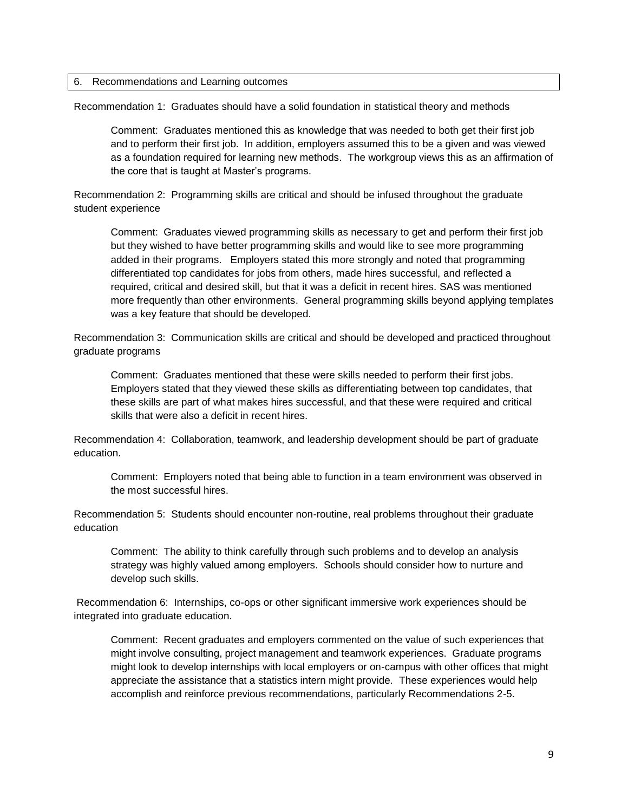### 6. Recommendations and Learning outcomes

Recommendation 1: Graduates should have a solid foundation in statistical theory and methods

Comment: Graduates mentioned this as knowledge that was needed to both get their first job and to perform their first job. In addition, employers assumed this to be a given and was viewed as a foundation required for learning new methods. The workgroup views this as an affirmation of the core that is taught at Master's programs.

Recommendation 2: Programming skills are critical and should be infused throughout the graduate student experience

Comment: Graduates viewed programming skills as necessary to get and perform their first job but they wished to have better programming skills and would like to see more programming added in their programs. Employers stated this more strongly and noted that programming differentiated top candidates for jobs from others, made hires successful, and reflected a required, critical and desired skill, but that it was a deficit in recent hires. SAS was mentioned more frequently than other environments. General programming skills beyond applying templates was a key feature that should be developed.

Recommendation 3: Communication skills are critical and should be developed and practiced throughout graduate programs

Comment: Graduates mentioned that these were skills needed to perform their first jobs. Employers stated that they viewed these skills as differentiating between top candidates, that these skills are part of what makes hires successful, and that these were required and critical skills that were also a deficit in recent hires.

Recommendation 4: Collaboration, teamwork, and leadership development should be part of graduate education.

Comment: Employers noted that being able to function in a team environment was observed in the most successful hires.

Recommendation 5: Students should encounter non-routine, real problems throughout their graduate education

Comment: The ability to think carefully through such problems and to develop an analysis strategy was highly valued among employers. Schools should consider how to nurture and develop such skills.

Recommendation 6: Internships, co-ops or other significant immersive work experiences should be integrated into graduate education.

Comment: Recent graduates and employers commented on the value of such experiences that might involve consulting, project management and teamwork experiences. Graduate programs might look to develop internships with local employers or on-campus with other offices that might appreciate the assistance that a statistics intern might provide. These experiences would help accomplish and reinforce previous recommendations, particularly Recommendations 2-5.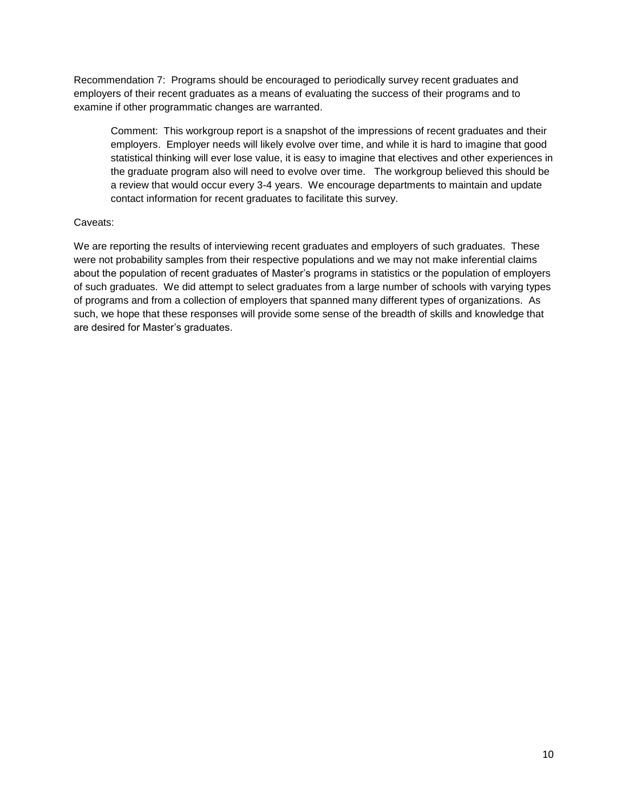Recommendation 7: Programs should be encouraged to periodically survey recent graduates and employers of their recent graduates as a means of evaluating the success of their programs and to examine if other programmatic changes are warranted.

Comment: This workgroup report is a snapshot of the impressions of recent graduates and their employers. Employer needs will likely evolve over time, and while it is hard to imagine that good statistical thinking will ever lose value, it is easy to imagine that electives and other experiences in the graduate program also will need to evolve over time. The workgroup believed this should be a review that would occur every 3-4 years. We encourage departments to maintain and update contact information for recent graduates to facilitate this survey.

# Caveats:

We are reporting the results of interviewing recent graduates and employers of such graduates. These were not probability samples from their respective populations and we may not make inferential claims about the population of recent graduates of Master's programs in statistics or the population of employers of such graduates. We did attempt to select graduates from a large number of schools with varying types of programs and from a collection of employers that spanned many different types of organizations. As such, we hope that these responses will provide some sense of the breadth of skills and knowledge that are desired for Master's graduates.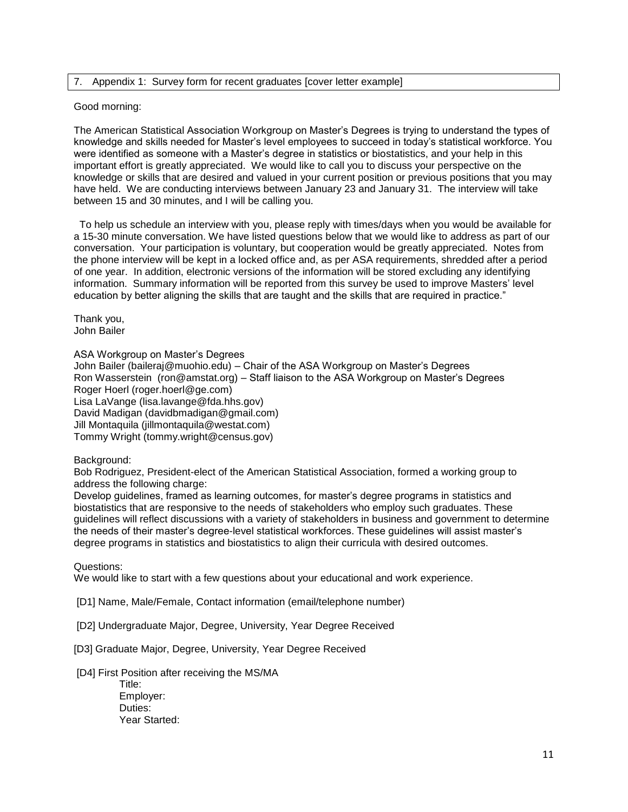## 7. Appendix 1: Survey form for recent graduates [cover letter example]

#### Good morning:

The American Statistical Association Workgroup on Master's Degrees is trying to understand the types of knowledge and skills needed for Master's level employees to succeed in today's statistical workforce. You were identified as someone with a Master's degree in statistics or biostatistics, and your help in this important effort is greatly appreciated. We would like to call you to discuss your perspective on the knowledge or skills that are desired and valued in your current position or previous positions that you may have held. We are conducting interviews between January 23 and January 31. The interview will take between 15 and 30 minutes, and I will be calling you.

 To help us schedule an interview with you, please reply with times/days when you would be available for a 15-30 minute conversation. We have listed questions below that we would like to address as part of our conversation. Your participation is voluntary, but cooperation would be greatly appreciated. Notes from the phone interview will be kept in a locked office and, as per ASA requirements, shredded after a period of one year. In addition, electronic versions of the information will be stored excluding any identifying information. Summary information will be reported from this survey be used to improve Masters' level education by better aligning the skills that are taught and the skills that are required in practice."

Thank you, John Bailer

ASA Workgroup on Master's Degrees

John Bailer (baileraj@muohio.edu) – Chair of the ASA Workgroup on Master's Degrees Ron Wasserstein (ron@amstat.org) – Staff liaison to the ASA Workgroup on Master's Degrees Roger Hoerl (roger.hoerl@ge.com) Lisa LaVange (lisa.lavange@fda.hhs.gov) David Madigan (davidbmadigan@gmail.com) Jill Montaquila (iillmontaquila@westat.com) Tommy Wright (tommy.wright@census.gov)

Background:

Bob Rodriguez, President-elect of the American Statistical Association, formed a working group to address the following charge:

Develop guidelines, framed as learning outcomes, for master's degree programs in statistics and biostatistics that are responsive to the needs of stakeholders who employ such graduates. These guidelines will reflect discussions with a variety of stakeholders in business and government to determine the needs of their master's degree-level statistical workforces. These guidelines will assist master's degree programs in statistics and biostatistics to align their curricula with desired outcomes.

Questions:

We would like to start with a few questions about your educational and work experience.

[D1] Name, Male/Female, Contact information (email/telephone number)

[D2] Undergraduate Major, Degree, University, Year Degree Received

[D3] Graduate Major, Degree, University, Year Degree Received

[D4] First Position after receiving the MS/MA

 Title: Employer: Duties: Year Started: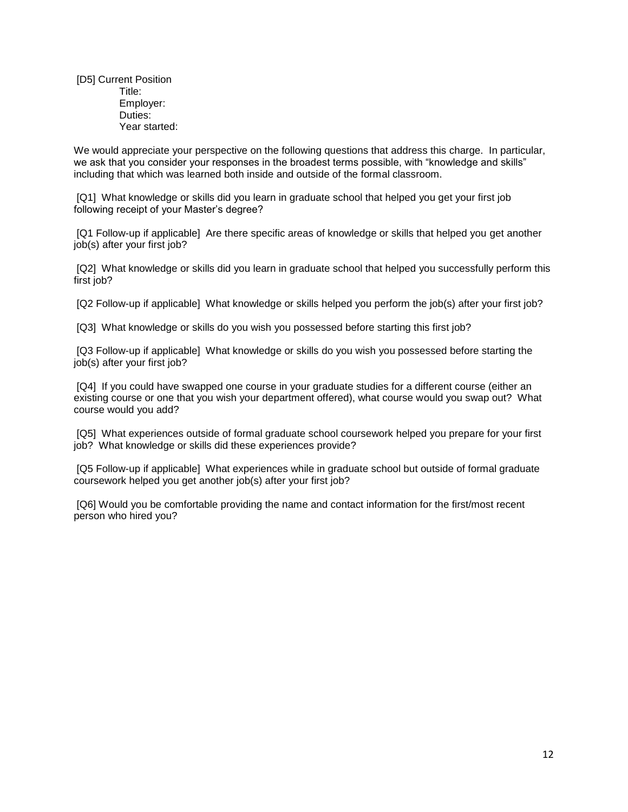[D5] Current Position Title: Employer: Duties: Year started:

We would appreciate your perspective on the following questions that address this charge. In particular, we ask that you consider your responses in the broadest terms possible, with "knowledge and skills" including that which was learned both inside and outside of the formal classroom.

[Q1] What knowledge or skills did you learn in graduate school that helped you get your first job following receipt of your Master's degree?

[Q1 Follow-up if applicable] Are there specific areas of knowledge or skills that helped you get another job(s) after your first job?

[Q2] What knowledge or skills did you learn in graduate school that helped you successfully perform this first job?

[Q2 Follow-up if applicable] What knowledge or skills helped you perform the job(s) after your first job?

[Q3] What knowledge or skills do you wish you possessed before starting this first job?

[Q3 Follow-up if applicable] What knowledge or skills do you wish you possessed before starting the job(s) after your first job?

[Q4] If you could have swapped one course in your graduate studies for a different course (either an existing course or one that you wish your department offered), what course would you swap out? What course would you add?

[Q5] What experiences outside of formal graduate school coursework helped you prepare for your first job? What knowledge or skills did these experiences provide?

[Q5 Follow-up if applicable] What experiences while in graduate school but outside of formal graduate coursework helped you get another job(s) after your first job?

[Q6] Would you be comfortable providing the name and contact information for the first/most recent person who hired you?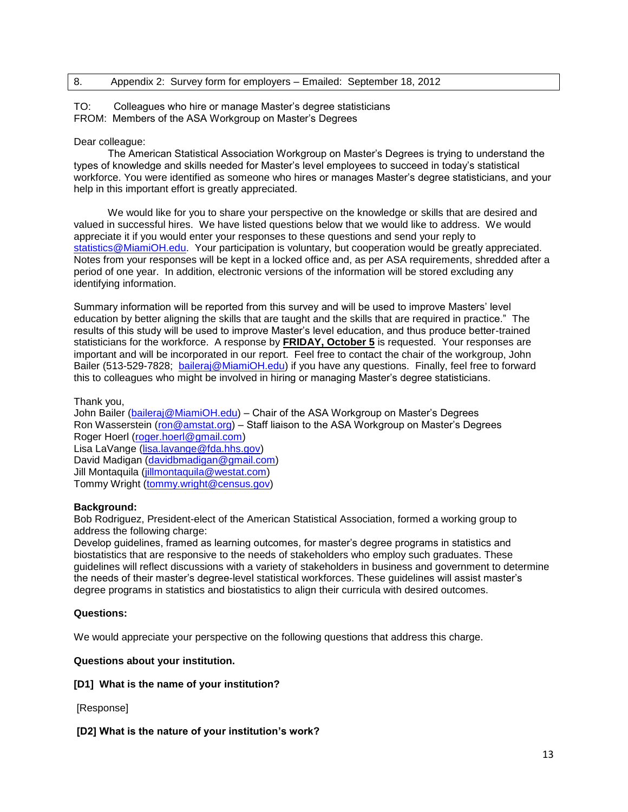# 8. Appendix 2: Survey form for employers – Emailed: September 18, 2012

### TO: Colleagues who hire or manage Master's degree statisticians FROM: Members of the ASA Workgroup on Master's Degrees

## Dear colleague:

 The American Statistical Association Workgroup on Master's Degrees is trying to understand the types of knowledge and skills needed for Master's level employees to succeed in today's statistical workforce. You were identified as someone who hires or manages Master's degree statisticians, and your help in this important effort is greatly appreciated.

 We would like for you to share your perspective on the knowledge or skills that are desired and valued in successful hires. We have listed questions below that we would like to address. We would appreciate it if you would enter your responses to these questions and send your reply to [statistics@MiamiOH.edu.](mailto:statistics@MiamiOH.edu) Your participation is voluntary, but cooperation would be greatly appreciated. Notes from your responses will be kept in a locked office and, as per ASA requirements, shredded after a period of one year. In addition, electronic versions of the information will be stored excluding any identifying information.

Summary information will be reported from this survey and will be used to improve Masters' level education by better aligning the skills that are taught and the skills that are required in practice." The results of this study will be used to improve Master's level education, and thus produce better-trained statisticians for the workforce. A response by **FRIDAY, October 5** is requested. Your responses are important and will be incorporated in our report. Feel free to contact the chair of the workgroup, John Bailer (513-529-7828; [baileraj@MiamiOH.edu\)](mailto:baileraj@MiamiOH.edu) if you have any questions. Finally, feel free to forward this to colleagues who might be involved in hiring or managing Master's degree statisticians.

Thank you,

John Bailer [\(baileraj@MiamiOH.edu\)](mailto:baileraj@MiamiOH.edu) – Chair of the ASA Workgroup on Master's Degrees Ron Wasserstein [\(ron@amstat.org\)](mailto:keith@amstat.org) – Staff liaison to the ASA Workgroup on Master's Degrees Roger Hoerl [\(roger.hoerl@gmail.com\)](mailto:roger.hoerl@gmail.com) Lisa LaVange [\(lisa.lavange@fda.hhs.gov\)](mailto:lisa.lavange@fda.hhs.gov) David Madigan [\(davidbmadigan@gmail.com\)](mailto:davidbmadigan@gmail.com) Jill Montaquila [\(jillmontaquila@westat.com\)](mailto:jillmontaquila@westat.com) Tommy Wright [\(tommy.wright@census.gov\)](mailto:tommy.wright@census.gov)

# **Background:**

Bob Rodriguez, President-elect of the American Statistical Association, formed a working group to address the following charge:

Develop guidelines, framed as learning outcomes, for master's degree programs in statistics and biostatistics that are responsive to the needs of stakeholders who employ such graduates. These guidelines will reflect discussions with a variety of stakeholders in business and government to determine the needs of their master's degree-level statistical workforces. These guidelines will assist master's degree programs in statistics and biostatistics to align their curricula with desired outcomes.

### **Questions:**

We would appreciate your perspective on the following questions that address this charge.

**Questions about your institution.**

### **[D1] What is the name of your institution?**

[Response]

# **[D2] What is the nature of your institution's work?**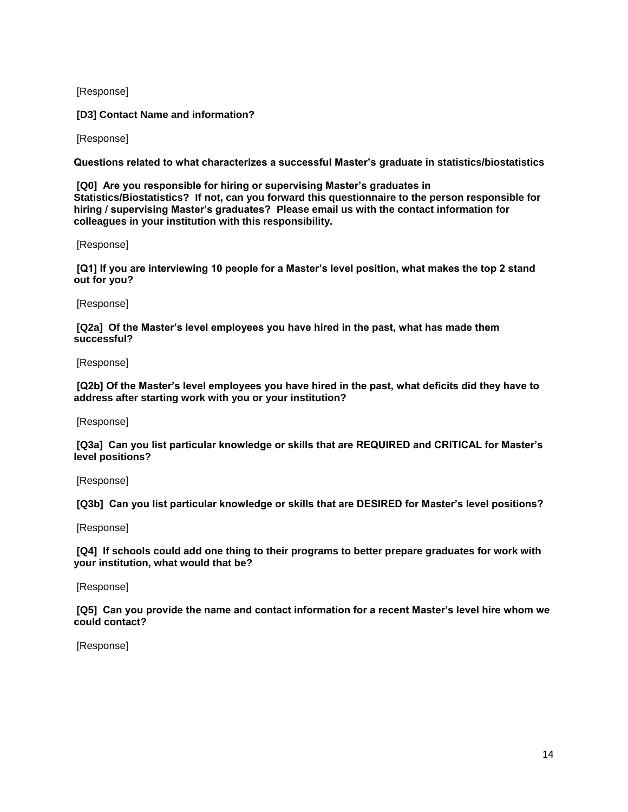[Response]

**[D3] Contact Name and information?**

[Response]

**Questions related to what characterizes a successful Master's graduate in statistics/biostatistics**

**[Q0] Are you responsible for hiring or supervising Master's graduates in Statistics/Biostatistics? If not, can you forward this questionnaire to the person responsible for hiring / supervising Master's graduates? Please email us with the contact information for colleagues in your institution with this responsibility.**

[Response]

**[Q1] If you are interviewing 10 people for a Master's level position, what makes the top 2 stand out for you?**

[Response]

**[Q2a] Of the Master's level employees you have hired in the past, what has made them successful?**

[Response]

**[Q2b] Of the Master's level employees you have hired in the past, what deficits did they have to address after starting work with you or your institution?**

[Response]

**[Q3a] Can you list particular knowledge or skills that are REQUIRED and CRITICAL for Master's level positions?**

[Response]

**[Q3b] Can you list particular knowledge or skills that are DESIRED for Master's level positions?**

[Response]

**[Q4] If schools could add one thing to their programs to better prepare graduates for work with your institution, what would that be?**

[Response]

**[Q5] Can you provide the name and contact information for a recent Master's level hire whom we could contact?**

[Response]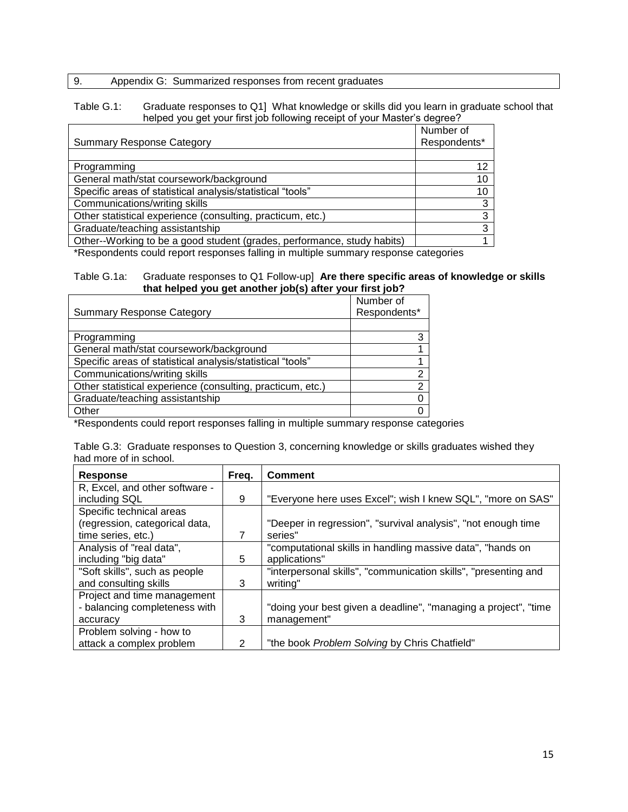# 9. Appendix G: Summarized responses from recent graduates

### Table G.1: Graduate responses to Q1] What knowledge or skills did you learn in graduate school that helped you get your first job following receipt of your Master's degree?

|                                                                         | Number of       |
|-------------------------------------------------------------------------|-----------------|
| <b>Summary Response Category</b>                                        | Respondents*    |
|                                                                         |                 |
| Programming                                                             | 12 <sup>°</sup> |
| General math/stat coursework/background                                 | 10              |
| Specific areas of statistical analysis/statistical "tools"              | 10              |
| Communications/writing skills                                           | 3               |
| Other statistical experience (consulting, practicum, etc.)              | 3               |
| Graduate/teaching assistantship                                         | 3               |
| Other--Working to be a good student (grades, performance, study habits) |                 |

\*Respondents could report responses falling in multiple summary response categories

### Table G.1a: Graduate responses to Q1 Follow-up] **Are there specific areas of knowledge or skills that helped you get another job(s) after your first job?**

|                                                            | Number of    |
|------------------------------------------------------------|--------------|
| <b>Summary Response Category</b>                           | Respondents* |
|                                                            |              |
| Programming                                                | 3            |
| General math/stat coursework/background                    |              |
| Specific areas of statistical analysis/statistical "tools" |              |
| Communications/writing skills                              | 2            |
| Other statistical experience (consulting, practicum, etc.) | 2            |
| Graduate/teaching assistantship                            |              |
| Other                                                      |              |

\*Respondents could report responses falling in multiple summary response categories

|                        | Table G.3: Graduate responses to Question 3, concerning knowledge or skills graduates wished they |  |  |  |
|------------------------|---------------------------------------------------------------------------------------------------|--|--|--|
| had more of in school. |                                                                                                   |  |  |  |

| <b>Response</b>                | Freq. | <b>Comment</b>                                                  |
|--------------------------------|-------|-----------------------------------------------------------------|
| R, Excel, and other software - |       |                                                                 |
| including SQL                  | 9     | "Everyone here uses Excel"; wish I knew SQL", "more on SAS"     |
| Specific technical areas       |       |                                                                 |
| (regression, categorical data, |       | "Deeper in regression", "survival analysis", "not enough time   |
| time series, etc.)             |       | series"                                                         |
| Analysis of "real data",       |       | "computational skills in handling massive data", "hands on      |
| including "big data"           | 5     | applications"                                                   |
| "Soft skills", such as people  |       | "interpersonal skills", "communication skills", "presenting and |
| and consulting skills          | 3     | writing"                                                        |
| Project and time management    |       |                                                                 |
| - balancing completeness with  |       | "doing your best given a deadline", "managing a project", "time |
| accuracy                       | 3     | management"                                                     |
| Problem solving - how to       |       |                                                                 |
| attack a complex problem       | 2     | "the book <i>Problem Solving</i> by Chris Chatfield"            |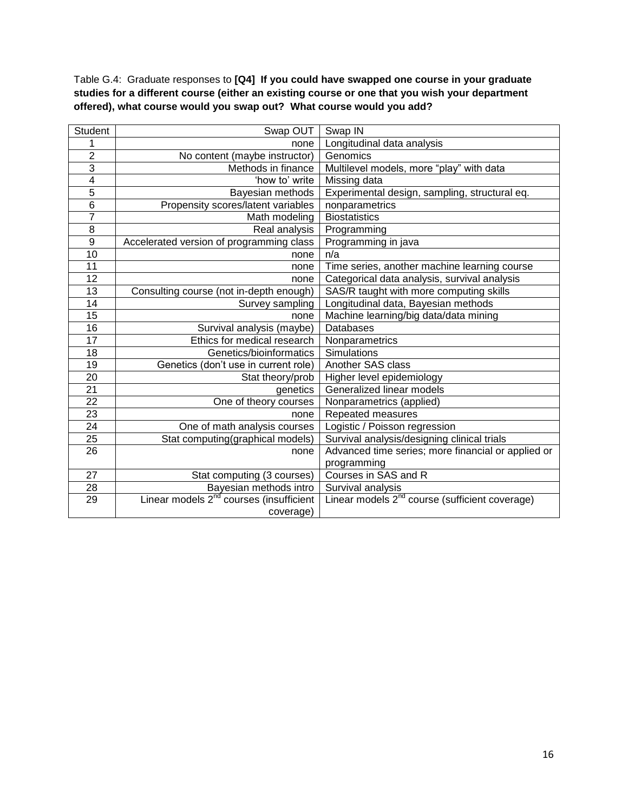Table G.4: Graduate responses to **[Q4] If you could have swapped one course in your graduate studies for a different course (either an existing course or one that you wish your department offered), what course would you swap out? What course would you add?**

| <b>Student</b>  | Swap OUT                                            | Swap IN                                                    |
|-----------------|-----------------------------------------------------|------------------------------------------------------------|
|                 | none                                                | Longitudinal data analysis                                 |
| $\overline{2}$  | No content (maybe instructor)                       | Genomics                                                   |
| $\overline{3}$  | Methods in finance                                  | Multilevel models, more "play" with data                   |
| $\overline{4}$  | 'how to' write                                      | Missing data                                               |
| 5               | Bayesian methods                                    | Experimental design, sampling, structural eq.              |
| $\overline{6}$  | Propensity scores/latent variables                  | nonparametrics                                             |
| $\overline{7}$  | Math modeling                                       | <b>Biostatistics</b>                                       |
| $\overline{8}$  | Real analysis                                       | Programming                                                |
| $\overline{9}$  | Accelerated version of programming class            | Programming in java                                        |
| $\overline{10}$ | none                                                | n/a                                                        |
| 11              | none                                                | Time series, another machine learning course               |
| 12              | none                                                | Categorical data analysis, survival analysis               |
| 13              | Consulting course (not in-depth enough)             | SAS/R taught with more computing skills                    |
| 14              | Survey sampling                                     | Longitudinal data, Bayesian methods                        |
| 15              | none                                                | Machine learning/big data/data mining                      |
| 16              | Survival analysis (maybe)                           | <b>Databases</b>                                           |
| $\overline{17}$ | Ethics for medical research                         | Nonparametrics                                             |
| 18              | Genetics/bioinformatics                             | Simulations                                                |
| 19              | Genetics (don't use in current role)                | Another SAS class                                          |
| 20              | Stat theory/prob                                    | Higher level epidemiology                                  |
| 21              | genetics                                            | Generalized linear models                                  |
| $\overline{22}$ | One of theory courses                               | Nonparametrics (applied)                                   |
| $\overline{23}$ | none                                                | Repeated measures                                          |
| 24              | One of math analysis courses                        | Logistic / Poisson regression                              |
| 25              | Stat computing(graphical models)                    | Survival analysis/designing clinical trials                |
| 26              | none                                                | Advanced time series; more financial or applied or         |
|                 |                                                     | programming                                                |
| 27              | Stat computing (3 courses)                          | Courses in SAS and R                                       |
| 28              | Bayesian methods intro                              | Survival analysis                                          |
| 29              | Linear models 2 <sup>nd</sup> courses (insufficient | Linear models 2 <sup>nd</sup> course (sufficient coverage) |
|                 | coverage)                                           |                                                            |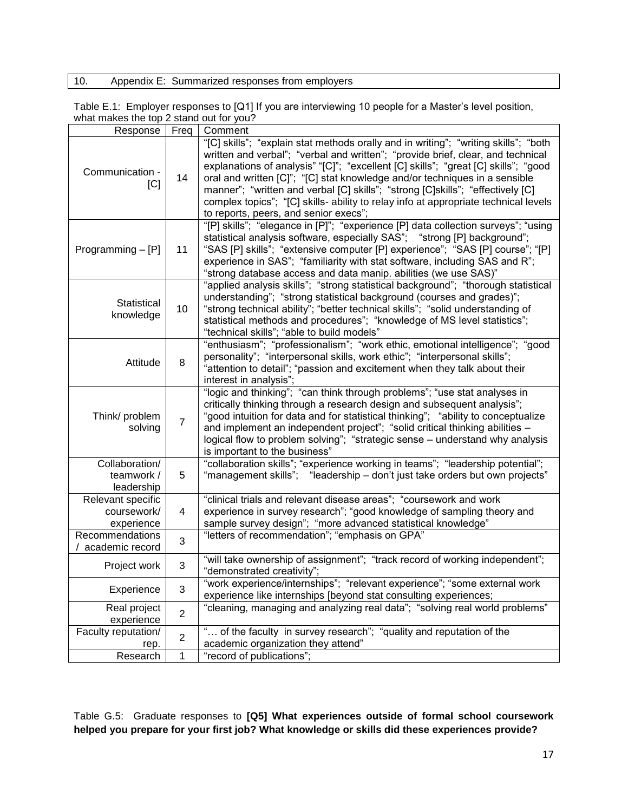# 10. Appendix E: Summarized responses from employers

Table E.1: Employer responses to [Q1] If you are interviewing 10 people for a Master's level position, what makes the top 2 stand out for you?

| Response                                       | Freq           | Comment                                                                                                                                                                                                                                                                                                                                                                                                                                                                                                                                                      |
|------------------------------------------------|----------------|--------------------------------------------------------------------------------------------------------------------------------------------------------------------------------------------------------------------------------------------------------------------------------------------------------------------------------------------------------------------------------------------------------------------------------------------------------------------------------------------------------------------------------------------------------------|
| Communication -<br> C                          | 14             | "[C] skills"; "explain stat methods orally and in writing"; "writing skills"; "both<br>written and verbal"; "verbal and written"; "provide brief, clear, and technical<br>explanations of analysis" "[C]"; "excellent [C] skills"; "great [C] skills"; "good<br>oral and written [C]"; "[C] stat knowledge and/or techniques in a sensible<br>manner"; "written and verbal [C] skills"; "strong [C]skills"; "effectively [C]<br>complex topics"; "[C] skills- ability to relay info at appropriate technical levels<br>to reports, peers, and senior execs"; |
| Programming $-[P]$                             | 11             | "[P] skills"; "elegance in [P]"; "experience [P] data collection surveys"; "using<br>statistical analysis software, especially SAS", "strong [P] background";<br>"SAS [P] skills"; "extensive computer [P] experience"; "SAS [P] course"; "[P]<br>experience in SAS"; "familiarity with stat software, including SAS and R";<br>"strong database access and data manip. abilities (we use SAS)"                                                                                                                                                              |
| Statistical<br>knowledge                       | 10             | "applied analysis skills"; "strong statistical background"; "thorough statistical<br>understanding"; "strong statistical background (courses and grades)";<br>"strong technical ability"; "better technical skills"; "solid understanding of<br>statistical methods and procedures"; "knowledge of MS level statistics";<br>"technical skills"; "able to build models"                                                                                                                                                                                       |
| Attitude                                       | 8              | "enthusiasm"; "professionalism"; "work ethic, emotional intelligence"; "good<br>personality"; "interpersonal skills, work ethic"; "interpersonal skills";<br>"attention to detail"; "passion and excitement when they talk about their<br>interest in analysis";                                                                                                                                                                                                                                                                                             |
| Think/ problem<br>solving                      | $\overline{7}$ | "logic and thinking"; "can think through problems"; "use stat analyses in<br>critically thinking through a research design and subsequent analysis";<br>"good intuition for data and for statistical thinking"; "ability to conceptualize<br>and implement an independent project"; "solid critical thinking abilities -<br>logical flow to problem solving"; "strategic sense - understand why analysis<br>is important to the business"                                                                                                                    |
| Collaboration/<br>teamwork /<br>leadership     | 5              | "collaboration skills"; "experience working in teams"; "leadership potential";<br>"management skills"; "leadership - don't just take orders but own projects"                                                                                                                                                                                                                                                                                                                                                                                                |
| Relevant specific<br>coursework/<br>experience | 4              | "clinical trials and relevant disease areas"; "coursework and work<br>experience in survey research"; "good knowledge of sampling theory and<br>sample survey design"; "more advanced statistical knowledge"                                                                                                                                                                                                                                                                                                                                                 |
| Recommendations<br>academic record             | 3              | "letters of recommendation"; "emphasis on GPA"                                                                                                                                                                                                                                                                                                                                                                                                                                                                                                               |
| Project work                                   | 3              | "will take ownership of assignment"; "track record of working independent";<br>"demonstrated creativity";                                                                                                                                                                                                                                                                                                                                                                                                                                                    |
| Experience                                     | 3              | "work experience/internships"; "relevant experience"; "some external work<br>experience like internships [beyond stat consulting experiences;                                                                                                                                                                                                                                                                                                                                                                                                                |
| Real project<br>experience                     | $\overline{2}$ | "cleaning, managing and analyzing real data"; "solving real world problems"                                                                                                                                                                                                                                                                                                                                                                                                                                                                                  |
| Faculty reputation/<br>rep.                    | $\overline{2}$ | " of the faculty in survey research"; "quality and reputation of the<br>academic organization they attend"                                                                                                                                                                                                                                                                                                                                                                                                                                                   |
| Research                                       | 1              | "record of publications";                                                                                                                                                                                                                                                                                                                                                                                                                                                                                                                                    |

Table G.5: Graduate responses to **[Q5] What experiences outside of formal school coursework helped you prepare for your first job? What knowledge or skills did these experiences provide?**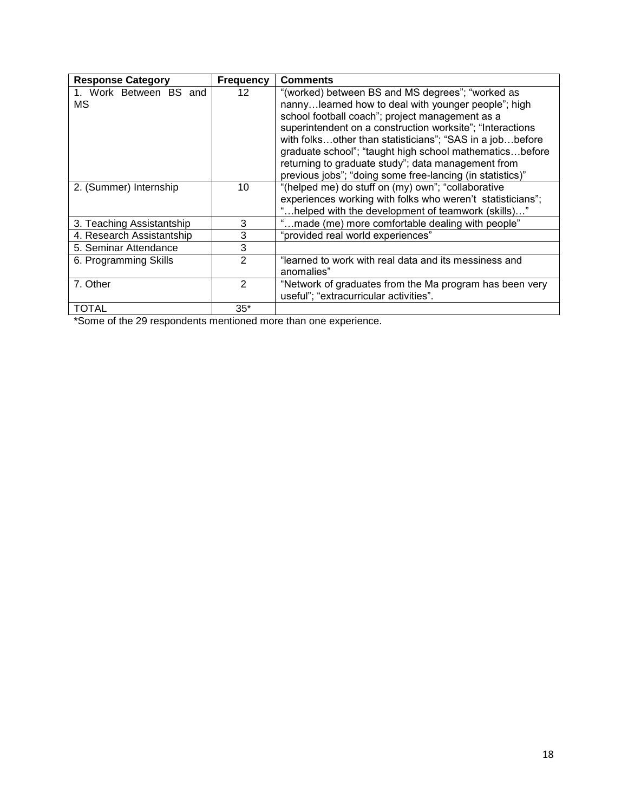| <b>Response Category</b>     | <b>Frequency</b> | <b>Comments</b>                                                                                                                                                                                                                                                                                                                                                                                                                                                   |
|------------------------------|------------------|-------------------------------------------------------------------------------------------------------------------------------------------------------------------------------------------------------------------------------------------------------------------------------------------------------------------------------------------------------------------------------------------------------------------------------------------------------------------|
| 1. Work Between BS and<br>МS | 12               | "(worked) between BS and MS degrees"; "worked as<br>nannylearned how to deal with younger people"; high<br>school football coach"; project management as a<br>superintendent on a construction worksite"; "Interactions<br>with folksother than statisticians"; "SAS in a jobbefore<br>graduate school"; "taught high school mathematicsbefore<br>returning to graduate study"; data management from<br>previous jobs"; "doing some free-lancing (in statistics)" |
| 2. (Summer) Internship       | 10               | "(helped me) do stuff on (my) own"; "collaborative"<br>experiences working with folks who weren't statisticians";<br>'helped with the development of teamwork (skills)"                                                                                                                                                                                                                                                                                           |
| 3. Teaching Assistantship    | 3                | "made (me) more comfortable dealing with people"                                                                                                                                                                                                                                                                                                                                                                                                                  |
| 4. Research Assistantship    | 3                | "provided real world experiences"                                                                                                                                                                                                                                                                                                                                                                                                                                 |
| 5. Seminar Attendance        | 3                |                                                                                                                                                                                                                                                                                                                                                                                                                                                                   |
| 6. Programming Skills        | 2                | "learned to work with real data and its messiness and<br>anomalies"                                                                                                                                                                                                                                                                                                                                                                                               |
| 7. Other                     | 2                | "Network of graduates from the Ma program has been very<br>useful"; "extracurricular activities".                                                                                                                                                                                                                                                                                                                                                                 |
| TOTAL                        | $35*$            |                                                                                                                                                                                                                                                                                                                                                                                                                                                                   |

\*Some of the 29 respondents mentioned more than one experience.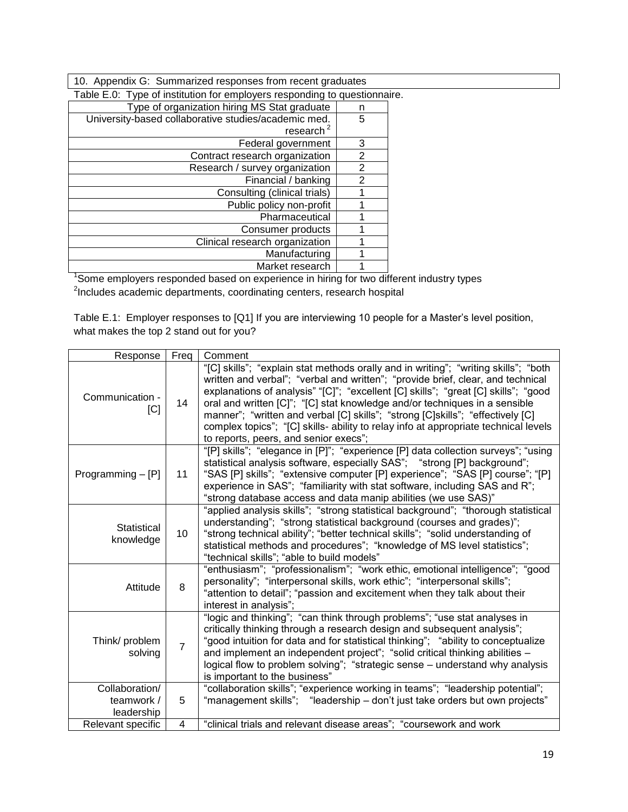10. Appendix G: Summarized responses from recent graduates

| Table E.0: Type of institution for employers responding to questionnaire. |   |  |
|---------------------------------------------------------------------------|---|--|
| Type of organization hiring MS Stat graduate                              | n |  |
| University-based collaborative studies/academic med.                      | 5 |  |
| research $2$                                                              |   |  |
| Federal government                                                        | 3 |  |
| Contract research organization                                            | 2 |  |
| Research / survey organization                                            | 2 |  |
| Financial / banking                                                       | 2 |  |
| Consulting (clinical trials)                                              |   |  |
| Public policy non-profit                                                  |   |  |
| Pharmaceutical                                                            |   |  |
| Consumer products                                                         |   |  |
| Clinical research organization                                            |   |  |
| Manufacturing                                                             |   |  |
| Market research                                                           |   |  |

Market research | 1 | 1<br>Some employers responded based on experience in hiring for two different industry types<sup>1</sup> <sup>2</sup>Includes academic departments, coordinating centers, research hospital

Table E.1: Employer responses to [Q1] If you are interviewing 10 people for a Master's level position, what makes the top 2 stand out for you?

| Response                        | Freq            | Comment                                                                                                                                                                                                                                                                                                                                                                                                                                                                                                                                                      |
|---------------------------------|-----------------|--------------------------------------------------------------------------------------------------------------------------------------------------------------------------------------------------------------------------------------------------------------------------------------------------------------------------------------------------------------------------------------------------------------------------------------------------------------------------------------------------------------------------------------------------------------|
| Communication -<br>[C]          | 14              | "[C] skills"; "explain stat methods orally and in writing"; "writing skills"; "both<br>written and verbal"; "verbal and written"; "provide brief, clear, and technical<br>explanations of analysis" "[C]"; "excellent [C] skills"; "great [C] skills"; "good<br>oral and written [C]"; "[C] stat knowledge and/or techniques in a sensible<br>manner"; "written and verbal [C] skills"; "strong [C]skills"; "effectively [C]<br>complex topics"; "[C] skills- ability to relay info at appropriate technical levels<br>to reports, peers, and senior execs"; |
| Programming $-$ [P]             | 11              | "[P] skills"; "elegance in [P]"; "experience [P] data collection surveys"; "using<br>statistical analysis software, especially SAS"; "strong [P] background";<br>"SAS [P] skills"; "extensive computer [P] experience"; "SAS [P] course"; "[P]<br>experience in SAS"; "familiarity with stat software, including SAS and R";<br>"strong database access and data manip abilities (we use SAS)"                                                                                                                                                               |
| <b>Statistical</b><br>knowledge | 10 <sup>1</sup> | "applied analysis skills"; "strong statistical background"; "thorough statistical<br>understanding"; "strong statistical background (courses and grades)";<br>"strong technical ability"; "better technical skills"; "solid understanding of<br>statistical methods and procedures"; "knowledge of MS level statistics";<br>"technical skills"; "able to build models"                                                                                                                                                                                       |
| Attitude                        | 8               | "enthusiasm"; "professionalism"; "work ethic, emotional intelligence"; "good<br>personality"; "interpersonal skills, work ethic"; "interpersonal skills";<br>"attention to detail"; "passion and excitement when they talk about their<br>interest in analysis";                                                                                                                                                                                                                                                                                             |
| Think/ problem<br>solving       | $\overline{7}$  | "logic and thinking"; "can think through problems"; "use stat analyses in<br>critically thinking through a research design and subsequent analysis";<br>"good intuition for data and for statistical thinking"; "ability to conceptualize<br>and implement an independent project"; "solid critical thinking abilities -<br>logical flow to problem solving"; "strategic sense - understand why analysis<br>is important to the business"                                                                                                                    |
| Collaboration/                  |                 | "collaboration skills"; "experience working in teams"; "leadership potential";                                                                                                                                                                                                                                                                                                                                                                                                                                                                               |
| teamwork /<br>leadership        | 5               | "management skills"; "leadership - don't just take orders but own projects"                                                                                                                                                                                                                                                                                                                                                                                                                                                                                  |
| Relevant specific               | 4               | "clinical trials and relevant disease areas"; "coursework and work                                                                                                                                                                                                                                                                                                                                                                                                                                                                                           |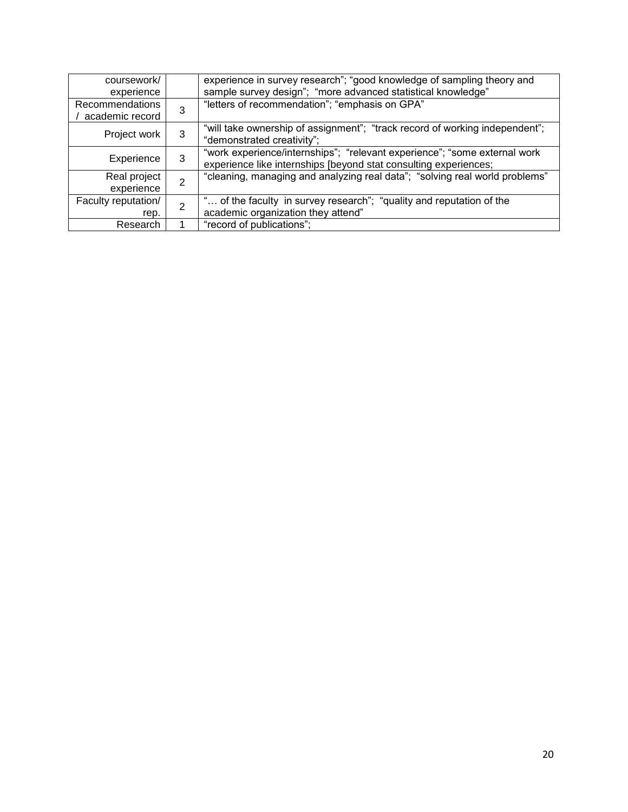| coursework/<br>experience                 |                | experience in survey research"; "good knowledge of sampling theory and<br>sample survey design"; "more advanced statistical knowledge"        |
|-------------------------------------------|----------------|-----------------------------------------------------------------------------------------------------------------------------------------------|
| <b>Recommendations</b><br>academic record | 3              | "letters of recommendation"; "emphasis on GPA"                                                                                                |
| Project work                              | 3              | "will take ownership of assignment"; "track record of working independent";<br>"demonstrated creativity";                                     |
| Experience                                | 3              | "work experience/internships"; "relevant experience"; "some external work<br>experience like internships [beyond stat consulting experiences; |
| Real project<br>experience                | $\overline{2}$ | "cleaning, managing and analyzing real data"; "solving real world problems"                                                                   |
| Faculty reputation/                       | $\overline{2}$ | " of the faculty in survey research"; "quality and reputation of the                                                                          |
| rep.                                      |                | academic organization they attend"                                                                                                            |
| Research                                  |                | "record of publications";                                                                                                                     |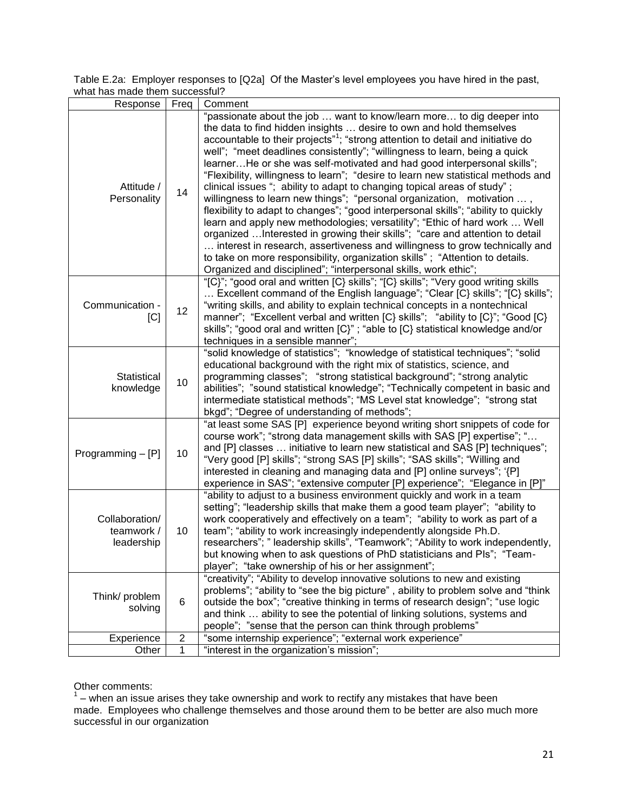Table E.2a: Employer responses to [Q2a] Of the Master's level employees you have hired in the past, what has made them successful?

| Response                                   | Freq | Comment                                                                                                                                                                                                                                                                                                                                                                                                                                                                                                                                                                                                                                                                                                                                                                                                                                                                                                                                                                                                                                                                                                                                                                                                                      |  |
|--------------------------------------------|------|------------------------------------------------------------------------------------------------------------------------------------------------------------------------------------------------------------------------------------------------------------------------------------------------------------------------------------------------------------------------------------------------------------------------------------------------------------------------------------------------------------------------------------------------------------------------------------------------------------------------------------------------------------------------------------------------------------------------------------------------------------------------------------------------------------------------------------------------------------------------------------------------------------------------------------------------------------------------------------------------------------------------------------------------------------------------------------------------------------------------------------------------------------------------------------------------------------------------------|--|
| Attitude /<br>Personality                  | 14   | "passionate about the job  want to know/learn more to dig deeper into<br>the data to find hidden insights  desire to own and hold themselves<br>accountable to their projects" <sup>1</sup> ; "strong attention to detail and initiative do<br>well"; "meet deadlines consistently"; "willingness to learn, being a quick<br>learnerHe or she was self-motivated and had good interpersonal skills";<br>"Flexibility, willingness to learn"; "desire to learn new statistical methods and<br>clinical issues "; ability to adapt to changing topical areas of study";<br>willingness to learn new things"; "personal organization, motivation ,<br>flexibility to adapt to changes"; "good interpersonal skills"; "ability to quickly<br>learn and apply new methodologies; versatility"; "Ethic of hard work  Well<br>organized  Interested in growing their skills"; "care and attention to detail<br>interest in research, assertiveness and willingness to grow technically and<br>to take on more responsibility, organization skills"; "Attention to details.<br>Organized and disciplined"; "interpersonal skills, work ethic";<br>"[C]"; "good oral and written [C] skills"; "[C] skills"; "Very good writing skills |  |
| Communication -<br>[C]                     | 12   | Excellent command of the English language"; "Clear $[C\}$ skills"; "[C] skills";<br>"writing skills, and ability to explain technical concepts in a nontechnical<br>manner"; "Excellent verbal and written [C} skills"; "ability to [C}"; "Good [C}<br>skills"; "good oral and written [C}"; "able to [C} statistical knowledge and/or<br>techniques in a sensible manner";                                                                                                                                                                                                                                                                                                                                                                                                                                                                                                                                                                                                                                                                                                                                                                                                                                                  |  |
| Statistical<br>knowledge                   | 10   | "solid knowledge of statistics"; "knowledge of statistical techniques"; "solid<br>educational background with the right mix of statistics, science, and<br>programming classes"; "strong statistical background"; "strong analytic<br>abilities"; "sound statistical knowledge"; "Technically competent in basic and<br>intermediate statistical methods"; "MS Level stat knowledge"; "strong stat<br>bkgd"; "Degree of understanding of methods";                                                                                                                                                                                                                                                                                                                                                                                                                                                                                                                                                                                                                                                                                                                                                                           |  |
| Programming $-[P]$                         | 10   | "at least some SAS [P] experience beyond writing short snippets of code for<br>course work"; "strong data management skills with SAS [P] expertise"; "<br>and [P] classes  initiative to learn new statistical and SAS [P] techniques";<br>"Very good [P] skills"; "strong SAS [P] skills"; "SAS skills"; "Willing and<br>interested in cleaning and managing data and [P] online surveys"; '{P]<br>experience in SAS"; "extensive computer [P] experience"; "Elegance in [P]"                                                                                                                                                                                                                                                                                                                                                                                                                                                                                                                                                                                                                                                                                                                                               |  |
| Collaboration/<br>teamwork /<br>leadership | 10   | "ability to adjust to a business environment quickly and work in a team<br>setting"; "leadership skills that make them a good team player"; "ability to<br>work cooperatively and effectively on a team"; "ability to work as part of a<br>team"; "ability to work increasingly independently alongside Ph.D.<br>researchers"; " leadership skills", "Teamwork"; "Ability to work independently,<br>but knowing when to ask questions of PhD statisticians and PIs"; "Team-<br>player"; "take ownership of his or her assignment";                                                                                                                                                                                                                                                                                                                                                                                                                                                                                                                                                                                                                                                                                           |  |
| Think/ problem<br>solving                  | 6    | "creativity"; "Ability to develop innovative solutions to new and existing<br>problems"; "ability to "see the big picture", ability to problem solve and "think<br>outside the box"; "creative thinking in terms of research design"; "use logic<br>and think  ability to see the potential of linking solutions, systems and<br>people"; "sense that the person can think through problems"                                                                                                                                                                                                                                                                                                                                                                                                                                                                                                                                                                                                                                                                                                                                                                                                                                 |  |
| Experience                                 | 2    | "some internship experience"; "external work experience"                                                                                                                                                                                                                                                                                                                                                                                                                                                                                                                                                                                                                                                                                                                                                                                                                                                                                                                                                                                                                                                                                                                                                                     |  |
| Other                                      | 1    | "interest in the organization's mission";                                                                                                                                                                                                                                                                                                                                                                                                                                                                                                                                                                                                                                                                                                                                                                                                                                                                                                                                                                                                                                                                                                                                                                                    |  |

Other comments:<br><sup>1</sup> – when an issue arises they take ownership and work to rectify any mistakes that have been made. Employees who challenge themselves and those around them to be better are also much more successful in our organization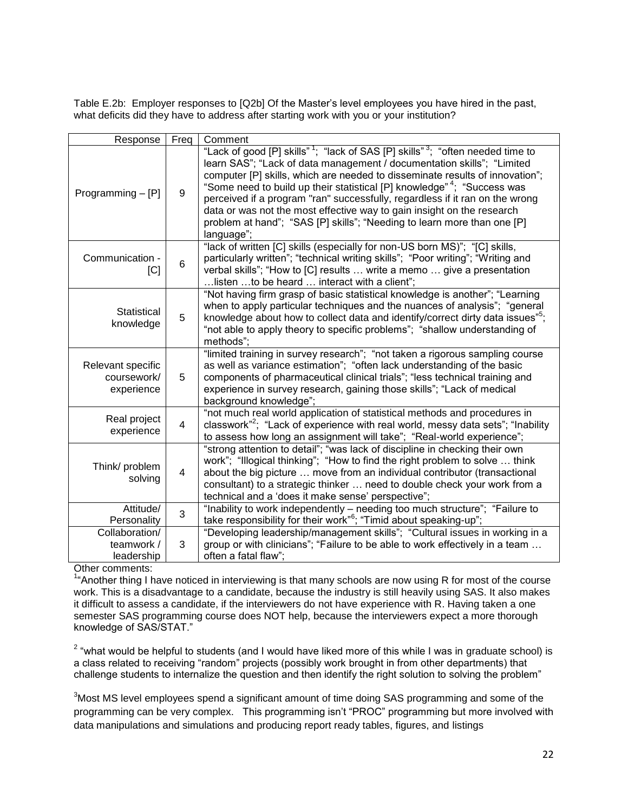Table E.2b: Employer responses to [Q2b] Of the Master's level employees you have hired in the past, what deficits did they have to address after starting work with you or your institution?

| Response                                       | Freq           | Comment                                                                                                                                                                                                                                                                                                                                                                                                                                                                                                                                                                                                    |  |
|------------------------------------------------|----------------|------------------------------------------------------------------------------------------------------------------------------------------------------------------------------------------------------------------------------------------------------------------------------------------------------------------------------------------------------------------------------------------------------------------------------------------------------------------------------------------------------------------------------------------------------------------------------------------------------------|--|
| Programming $-[P]$                             | 9              | "Lack of good [P] skills" <sup>1</sup> ; "lack of SAS [P] skills" <sup>3</sup> ; "often needed time to<br>learn SAS"; "Lack of data management / documentation skills"; "Limited<br>computer [P] skills, which are needed to disseminate results of innovation";<br>"Some need to build up their statistical [P] knowledge" <sup>4</sup> ; "Success was<br>perceived if a program "ran" successfully, regardless if it ran on the wrong<br>data or was not the most effective way to gain insight on the research<br>problem at hand"; "SAS [P] skills"; "Needing to learn more than one [P]<br>language"; |  |
| Communication -<br>[C]                         | 6              | "lack of written [C] skills (especially for non-US born MS)"; "[C] skills,<br>particularly written"; "technical writing skills"; "Poor writing"; "Writing and<br>verbal skills"; "How to [C] results  write a memo  give a presentation<br>listen to be heard  interact with a client";                                                                                                                                                                                                                                                                                                                    |  |
| Statistical<br>knowledge                       | 5              | "Not having firm grasp of basic statistical knowledge is another"; "Learning<br>when to apply particular techniques and the nuances of analysis"; "general<br>knowledge about how to collect data and identify/correct dirty data issues" <sup>5</sup> ;<br>"not able to apply theory to specific problems"; "shallow understanding of<br>methods";                                                                                                                                                                                                                                                        |  |
| Relevant specific<br>coursework/<br>experience | 5              | "limited training in survey research"; "not taken a rigorous sampling course<br>as well as variance estimation"; "often lack understanding of the basic<br>components of pharmaceutical clinical trials"; "less technical training and<br>experience in survey research, gaining those skills"; "Lack of medical<br>background knowledge";                                                                                                                                                                                                                                                                 |  |
| Real project<br>experience                     | $\overline{4}$ | "not much real world application of statistical methods and procedures in<br>classwork" <sup>2</sup> ; "Lack of experience with real world, messy data sets"; "Inability<br>to assess how long an assignment will take"; "Real-world experience";                                                                                                                                                                                                                                                                                                                                                          |  |
| Think/ problem<br>solving                      | $\overline{4}$ | "strong attention to detail"; "was lack of discipline in checking their own<br>work"; "Illogical thinking"; "How to find the right problem to solve  think<br>about the big picture  move from an individual contributor (transactional<br>consultant) to a strategic thinker  need to double check your work from a<br>technical and a 'does it make sense' perspective";                                                                                                                                                                                                                                 |  |
| Attitude/<br>Personality                       | 3              | "Inability to work independently - needing too much structure"; "Failure to<br>take responsibility for their work" <sup>6</sup> ; "Timid about speaking-up";                                                                                                                                                                                                                                                                                                                                                                                                                                               |  |
| Collaboration/<br>teamwork /<br>leadership     | 3              | "Developing leadership/management skills"; "Cultural issues in working in a<br>group or with clinicians"; "Failure to be able to work effectively in a team<br>often a fatal flaw";                                                                                                                                                                                                                                                                                                                                                                                                                        |  |

Other comments:

<sup>1</sup>"Another thing I have noticed in interviewing is that many schools are now using R for most of the course work. This is a disadvantage to a candidate, because the industry is still heavily using SAS. It also makes it difficult to assess a candidate, if the interviewers do not have experience with R. Having taken a one semester SAS programming course does NOT help, because the interviewers expect a more thorough knowledge of SAS/STAT."

 $2\degree$  "what would be helpful to students (and I would have liked more of this while I was in graduate school) is a class related to receiving "random" projects (possibly work brought in from other departments) that challenge students to internalize the question and then identify the right solution to solving the problem"

<sup>3</sup>Most MS level employees spend a significant amount of time doing SAS programming and some of the programming can be very complex. This programming isn't "PROC" programming but more involved with data manipulations and simulations and producing report ready tables, figures, and listings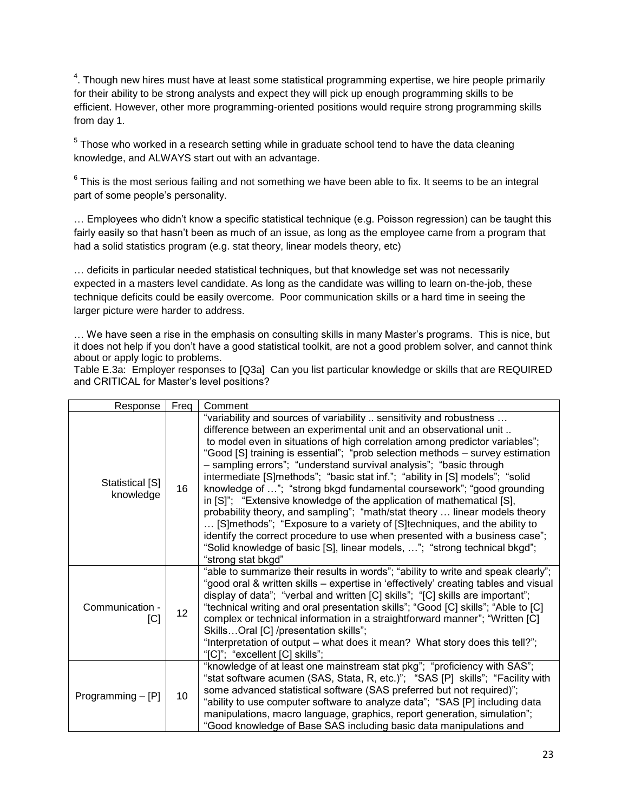<sup>4</sup>. Though new hires must have at least some statistical programming expertise, we hire people primarily for their ability to be strong analysts and expect they will pick up enough programming skills to be efficient. However, other more programming-oriented positions would require strong programming skills from day 1.

 $5$  Those who worked in a research setting while in graduate school tend to have the data cleaning knowledge, and ALWAYS start out with an advantage.

 $6$  This is the most serious failing and not something we have been able to fix. It seems to be an integral part of some people's personality.

… Employees who didn't know a specific statistical technique (e.g. Poisson regression) can be taught this fairly easily so that hasn't been as much of an issue, as long as the employee came from a program that had a solid statistics program (e.g. stat theory, linear models theory, etc)

… deficits in particular needed statistical techniques, but that knowledge set was not necessarily expected in a masters level candidate. As long as the candidate was willing to learn on-the-job, these technique deficits could be easily overcome. Poor communication skills or a hard time in seeing the larger picture were harder to address.

… We have seen a rise in the emphasis on consulting skills in many Master's programs. This is nice, but it does not help if you don't have a good statistical toolkit, are not a good problem solver, and cannot think about or apply logic to problems.

Table E.3a: Employer responses to [Q3a] Can you list particular knowledge or skills that are REQUIRED and CRITICAL for Master's level positions?

| Response                     | Freq            | Comment                                                                                                                                                                                                                                                                                                                                                                                                                                                                                                                                                                                                                                                                                                                                                                                                                                                                                                                                                      |  |
|------------------------------|-----------------|--------------------------------------------------------------------------------------------------------------------------------------------------------------------------------------------------------------------------------------------------------------------------------------------------------------------------------------------------------------------------------------------------------------------------------------------------------------------------------------------------------------------------------------------------------------------------------------------------------------------------------------------------------------------------------------------------------------------------------------------------------------------------------------------------------------------------------------------------------------------------------------------------------------------------------------------------------------|--|
| Statistical [S]<br>knowledge | 16              | "variability and sources of variability  sensitivity and robustness<br>difference between an experimental unit and an observational unit<br>to model even in situations of high correlation among predictor variables";<br>"Good [S] training is essential"; "prob selection methods - survey estimation<br>- sampling errors"; "understand survival analysis"; "basic through<br>intermediate [S]methods"; "basic stat inf."; "ability in [S] models"; "solid<br>knowledge of "; "strong bkgd fundamental coursework"; "good grounding<br>in [S]"; "Extensive knowledge of the application of mathematical [S],<br>probability theory, and sampling"; "math/stat theory  linear models theory<br>[S]methods"; "Exposure to a variety of [S]techniques, and the ability to<br>identify the correct procedure to use when presented with a business case";<br>"Solid knowledge of basic [S], linear models, "; "strong technical bkgd";<br>"strong stat bkgd" |  |
| Communication -<br>[C]       | 12 <sub>2</sub> | "able to summarize their results in words"; "ability to write and speak clearly";<br>"good oral & written skills – expertise in 'effectively' creating tables and visual<br>display of data"; "verbal and written [C] skills"; "[C] skills are important";<br>"technical writing and oral presentation skills"; "Good [C] skills"; "Able to [C]<br>complex or technical information in a straightforward manner"; "Written [C]<br>SkillsOral [C] /presentation skills";<br>"Interpretation of output - what does it mean? What story does this tell?";<br>"[C]"; "excellent [C] skills";                                                                                                                                                                                                                                                                                                                                                                     |  |
| Programming $-[P]$           | 10              | "knowledge of at least one mainstream stat pkg"; "proficiency with SAS";<br>"stat software acumen (SAS, Stata, R, etc.)"; "SAS [P] skills"; "Facility with<br>some advanced statistical software (SAS preferred but not required)";<br>"ability to use computer software to analyze data"; "SAS [P] including data<br>manipulations, macro language, graphics, report generation, simulation";<br>"Good knowledge of Base SAS including basic data manipulations and                                                                                                                                                                                                                                                                                                                                                                                                                                                                                         |  |